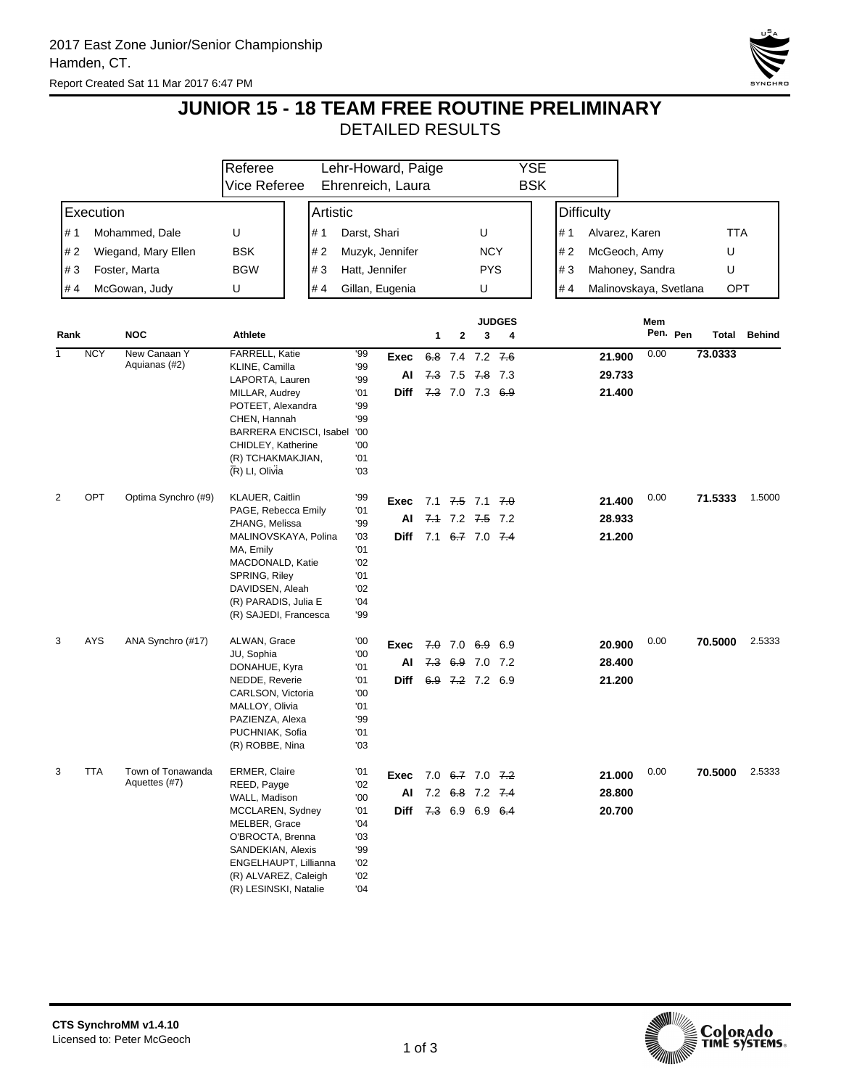

## **JUNIOR 15 - 18 TEAM FREE ROUTINE PRELIMINARY**

DETAILED RESULTS

|              |                            |                     | Referee                                    |                         |                | Lehr-Howard, Paige   |   |                                       |            |                    | YSE        |                   |                        |      |          |            |               |
|--------------|----------------------------|---------------------|--------------------------------------------|-------------------------|----------------|----------------------|---|---------------------------------------|------------|--------------------|------------|-------------------|------------------------|------|----------|------------|---------------|
|              |                            |                     | Vice Referee                               |                         |                | Ehrenreich, Laura    |   |                                       |            |                    | <b>BSK</b> |                   |                        |      |          |            |               |
| Execution    |                            |                     | Artistic                                   |                         |                |                      |   |                                       |            |                    |            | <b>Difficulty</b> |                        |      |          |            |               |
| # 1          |                            | Mohammed, Dale      | U                                          | # 1                     | Darst, Shari   |                      |   |                                       | U          |                    |            | # 1               | Alvarez, Karen         |      |          | <b>TTA</b> |               |
|              | # 2<br>Wiegand, Mary Ellen |                     | <b>BSK</b>                                 | #2                      |                | Muzyk, Jennifer      |   |                                       | <b>NCY</b> |                    |            | #2                | McGeoch, Amy           |      |          | U          |               |
|              | #3<br>Foster, Marta        |                     | <b>BGW</b>                                 | #3                      | Hatt, Jennifer |                      |   |                                       | <b>PYS</b> |                    |            | #3                | Mahoney, Sandra        |      |          | U          |               |
| #4           |                            | McGowan, Judy       | U                                          | #4                      |                | Gillan, Eugenia      |   |                                       | U          |                    |            | #4                | Malinovskaya, Svetlana |      |          | OPT        |               |
|              |                            |                     |                                            |                         |                |                      |   |                                       |            |                    |            |                   |                        |      |          |            |               |
| Rank         |                            | <b>NOC</b>          | Athlete                                    |                         |                |                      | 1 | $\mathbf{2}$                          | 3          | <b>JUDGES</b><br>4 |            |                   |                        | Mem  | Pen. Pen | Total      | <b>Behind</b> |
| $\mathbf{1}$ | <b>NCY</b>                 | New Canaan Y        | FARRELL, Katie                             |                         | '99            | Exec                 |   | 6.8 7.4 7.2 7.6                       |            |                    |            |                   | 21.900                 | 0.00 |          | 73.0333    |               |
|              |                            | Aquianas (#2)       | KLINE, Camilla<br>LAPORTA, Lauren          |                         | '99<br>'99     | AI                   |   | 7.3 7.5 7.8 7.3                       |            |                    |            |                   | 29.733                 |      |          |            |               |
|              |                            |                     | MILLAR, Audrey                             |                         | '01            | Diff 7.3 7.0 7.3 6.9 |   |                                       |            |                    |            |                   | 21.400                 |      |          |            |               |
|              |                            |                     | POTEET, Alexandra                          |                         | '99            |                      |   |                                       |            |                    |            |                   |                        |      |          |            |               |
|              |                            |                     | CHEN, Hannah                               | BARRERA ENCISCI, Isabel | '99<br>'00     |                      |   |                                       |            |                    |            |                   |                        |      |          |            |               |
|              |                            |                     | CHIDLEY, Katherine                         |                         | '00            |                      |   |                                       |            |                    |            |                   |                        |      |          |            |               |
|              |                            |                     | (R) TCHAKMAKJIAN,                          |                         | '01            |                      |   |                                       |            |                    |            |                   |                        |      |          |            |               |
|              |                            |                     | (R) LI, Olivia                             |                         | '03            |                      |   |                                       |            |                    |            |                   |                        |      |          |            |               |
| 2            | OPT                        | Optima Synchro (#9) | KLAUER, Caitlin                            |                         | '99            | Exec                 |   | 7.1 <del>7.5</del> 7.1 <del>7.0</del> |            |                    |            |                   | 21.400                 | 0.00 |          | 71.5333    | 1.5000        |
|              |                            |                     | PAGE, Rebecca Emily                        |                         | '01            | AI                   |   | 7.1 7.2 7.5 7.2                       |            |                    |            |                   | 28.933                 |      |          |            |               |
|              |                            |                     | ZHANG, Melissa<br>MALINOVSKAYA, Polina     |                         | '99<br>'03     | Diff                 |   | 7.1 6.7 7.0 7.4                       |            |                    |            |                   | 21.200                 |      |          |            |               |
|              |                            |                     | MA, Emily                                  |                         | '01            |                      |   |                                       |            |                    |            |                   |                        |      |          |            |               |
|              |                            |                     | MACDONALD, Katie                           |                         | '02            |                      |   |                                       |            |                    |            |                   |                        |      |          |            |               |
|              |                            |                     | SPRING, Riley<br>DAVIDSEN, Aleah           |                         | '01<br>'02     |                      |   |                                       |            |                    |            |                   |                        |      |          |            |               |
|              |                            |                     | (R) PARADIS, Julia E                       |                         | '04            |                      |   |                                       |            |                    |            |                   |                        |      |          |            |               |
|              |                            |                     | (R) SAJEDI, Francesca                      |                         | '99            |                      |   |                                       |            |                    |            |                   |                        |      |          |            |               |
| 3            | <b>AYS</b>                 | ANA Synchro (#17)   | ALWAN, Grace                               |                         | '00            | Exec                 |   | $7.0$ 6.9 6.9                         |            |                    |            |                   | 20.900                 | 0.00 |          | 70.5000    | 2.5333        |
|              |                            |                     | JU, Sophia                                 |                         | '00<br>'01     | ΑI                   |   | 7.3 6.9 7.0 7.2                       |            |                    |            |                   | 28.400                 |      |          |            |               |
|              |                            |                     | DONAHUE, Kyra<br>NEDDE, Reverie            |                         | '01            | Diff                 |   | 6.9 7.2 7.2 6.9                       |            |                    |            |                   | 21.200                 |      |          |            |               |
|              |                            |                     | CARLSON, Victoria                          |                         | '00            |                      |   |                                       |            |                    |            |                   |                        |      |          |            |               |
|              |                            |                     | MALLOY, Olivia                             |                         | '01            |                      |   |                                       |            |                    |            |                   |                        |      |          |            |               |
|              |                            |                     | PAZIENZA, Alexa<br>PUCHNIAK, Sofia         |                         | '99<br>'01     |                      |   |                                       |            |                    |            |                   |                        |      |          |            |               |
|              |                            |                     | (R) ROBBE, Nina                            |                         | '03            |                      |   |                                       |            |                    |            |                   |                        |      |          |            |               |
| 3            | <b>TTA</b>                 | Town of Tonawanda   | ERMER, Claire                              |                         | '01            | Exec 7.0 6.7 7.0 7.2 |   |                                       |            |                    |            |                   | 21.000                 | 0.00 |          | 70.5000    | 2.5333        |
|              |                            | Aquettes (#7)       | REED, Payge                                |                         | '02            |                      |   | AI 7.2 6.8 7.2 7.4                    |            |                    |            |                   | 28.800                 |      |          |            |               |
|              |                            |                     | WALL, Madison<br>MCCLAREN, Sydney          |                         | '00<br>'01     | Diff 7.3 6.9 6.9 6.4 |   |                                       |            |                    |            |                   | 20.700                 |      |          |            |               |
|              |                            |                     | MELBER, Grace                              |                         | '04            |                      |   |                                       |            |                    |            |                   |                        |      |          |            |               |
|              |                            |                     | O'BROCTA, Brenna                           |                         | '03            |                      |   |                                       |            |                    |            |                   |                        |      |          |            |               |
|              |                            |                     | SANDEKIAN, Alexis<br>ENGELHAUPT, Lillianna |                         | '99<br>'02     |                      |   |                                       |            |                    |            |                   |                        |      |          |            |               |
|              |                            |                     | (R) ALVAREZ, Caleigh                       |                         | '02            |                      |   |                                       |            |                    |            |                   |                        |      |          |            |               |
|              |                            |                     | (R) LESINSKI, Natalie                      |                         | '04            |                      |   |                                       |            |                    |            |                   |                        |      |          |            |               |

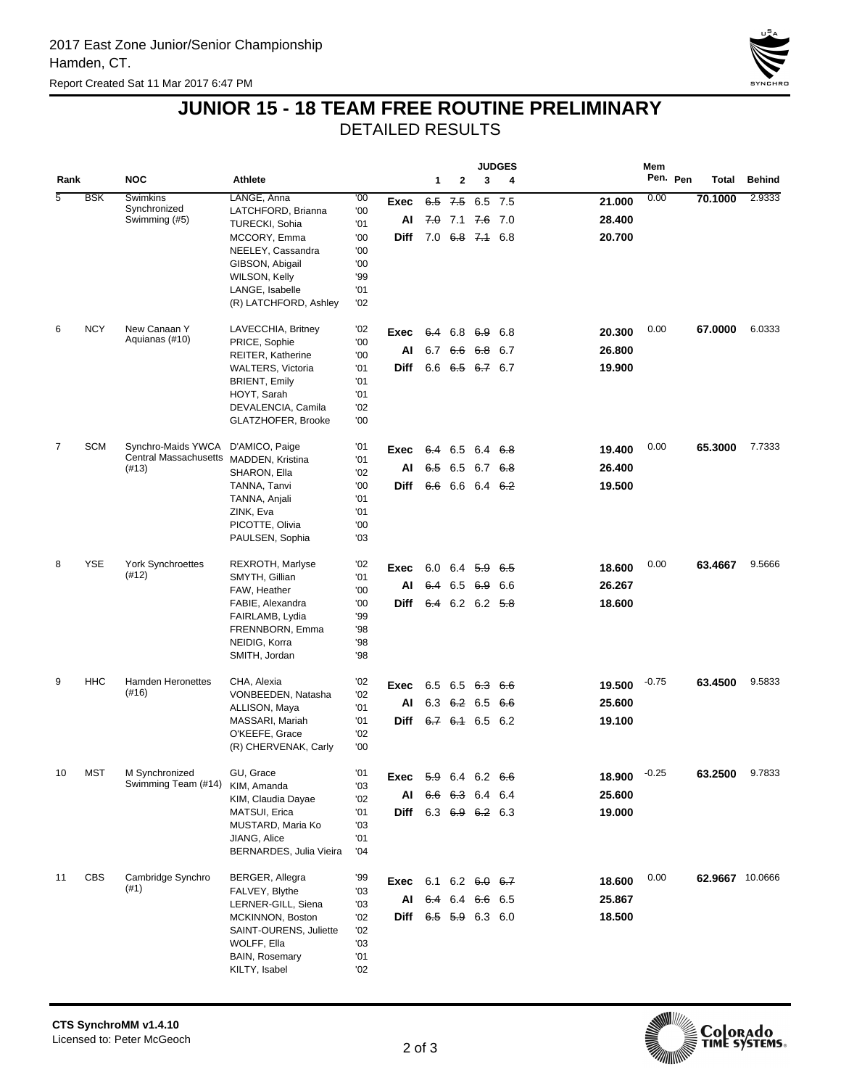

## **JUNIOR 15 - 18 TEAM FREE ROUTINE PRELIMINARY**

DETAILED RESULTS

|                |            |                                        |                                           |            |                               |                      |                         |               | <b>JUDGES</b> |        |         |          |                        |               |
|----------------|------------|----------------------------------------|-------------------------------------------|------------|-------------------------------|----------------------|-------------------------|---------------|---------------|--------|---------|----------|------------------------|---------------|
| Rank           |            | <b>NOC</b>                             | <b>Athlete</b>                            |            |                               | 1                    | 2                       | 3             | 4             |        |         | Pen. Pen | Total                  | <b>Behind</b> |
| $\overline{5}$ | <b>BSK</b> | <b>Swimkins</b>                        | LANGE, Anna                               | '00        | Exec                          | 6.5                  |                         | $7.5$ 6.5 7.5 |               | 21.000 | 0.00    |          | 70.1000                | 2.9333        |
|                |            | Synchronized<br>Swimming (#5)          | LATCHFORD, Brianna                        | '00<br>'01 | Al                            |                      | $7.0$ 7.1 $7.6$ 7.0     |               |               | 28.400 |         |          |                        |               |
|                |            |                                        | TURECKI, Sohia<br>MCCORY, Emma            | '00        | Diff                          |                      | $7.0$ 6.8 7.4 6.8       |               |               | 20.700 |         |          |                        |               |
|                |            |                                        | NEELEY, Cassandra                         | '00        |                               |                      |                         |               |               |        |         |          |                        |               |
|                |            |                                        | GIBSON, Abigail                           | '00        |                               |                      |                         |               |               |        |         |          |                        |               |
|                |            |                                        | WILSON, Kelly                             | '99        |                               |                      |                         |               |               |        |         |          |                        |               |
|                |            |                                        | LANGE, Isabelle                           | '01        |                               |                      |                         |               |               |        |         |          |                        |               |
|                |            |                                        | (R) LATCHFORD, Ashley                     | '02        |                               |                      |                         |               |               |        |         |          |                        |               |
| 6              | <b>NCY</b> | New Canaan Y                           | LAVECCHIA, Britney                        | '02        | Exec                          |                      | 6.4 6.8 6.9             |               | 6.8           | 20.300 | 0.00    |          | 67.0000                | 6.0333        |
|                |            | Aquianas (#10)                         | PRICE, Sophie                             | '00        | Al                            | 6.7                  |                         | 6.6 6.8 6.7   |               | 26.800 |         |          |                        |               |
|                |            |                                        | REITER, Katherine                         | '00        |                               |                      | $6.6$ $6.5$ $6.7$ $6.7$ |               |               |        |         |          |                        |               |
|                |            |                                        | WALTERS, Victoria<br><b>BRIENT, Emily</b> | '01<br>'01 | Diff                          |                      |                         |               |               | 19.900 |         |          |                        |               |
|                |            |                                        | HOYT, Sarah                               | '01        |                               |                      |                         |               |               |        |         |          |                        |               |
|                |            |                                        | DEVALENCIA, Camila                        | '02        |                               |                      |                         |               |               |        |         |          |                        |               |
|                |            |                                        | GLATZHOFER, Brooke                        | '00        |                               |                      |                         |               |               |        |         |          |                        |               |
| 7              | <b>SCM</b> | Synchro-Maids YWCA                     | D'AMICO, Paige                            | '01        | Exec                          |                      | 6.4 6.5 6.4 6.8         |               |               | 19,400 | 0.00    |          | 65.3000                | 7.7333        |
|                |            | Central Massachusetts MADDEN, Kristina |                                           | '01        |                               |                      |                         |               |               |        |         |          |                        |               |
|                |            | (#13)                                  | SHARON, Ella                              | '02        | Al                            | 6.5                  | 6.5 6.7 6.8             |               |               | 26,400 |         |          |                        |               |
|                |            |                                        | TANNA, Tanvi                              | '00        | Diff                          |                      | 6.6 6.6 6.4 6.2         |               |               | 19.500 |         |          |                        |               |
|                |            |                                        | TANNA, Anjali<br>ZINK, Eva                | '01<br>'01 |                               |                      |                         |               |               |        |         |          |                        |               |
|                |            |                                        | PICOTTE, Olivia                           | '00        |                               |                      |                         |               |               |        |         |          |                        |               |
|                |            |                                        | PAULSEN, Sophia                           | '03        |                               |                      |                         |               |               |        |         |          |                        |               |
| 8              | <b>YSE</b> | York Synchroettes                      | REXROTH, Marlyse                          | '02        |                               |                      |                         |               |               |        | 0.00    |          |                        | 9.5666        |
|                |            | (#12)                                  | SMYTH, Gillian                            | '01        | Exec                          |                      | 6.0 6.4 $5.9$ 6.5       |               |               | 18.600 |         |          | 63.4667                |               |
|                |            |                                        | FAW, Heather                              | '00        | Al                            |                      | 6.4 6.5 6.9 6.6         |               |               | 26.267 |         |          |                        |               |
|                |            |                                        | FABIE, Alexandra                          | '00        | Diff                          |                      | $6.4$ 6.2 6.2 5.8       |               |               | 18.600 |         |          |                        |               |
|                |            |                                        | FAIRLAMB, Lydia                           | '99        |                               |                      |                         |               |               |        |         |          |                        |               |
|                |            |                                        | FRENNBORN, Emma<br>NEIDIG, Korra          | '98<br>'98 |                               |                      |                         |               |               |        |         |          |                        |               |
|                |            |                                        | SMITH, Jordan                             | '98        |                               |                      |                         |               |               |        |         |          |                        |               |
|                |            |                                        |                                           |            |                               |                      |                         |               |               |        |         |          |                        |               |
| 9              | HHC        | Hamden Heronettes<br>(#16)             | CHA, Alexia<br>VONBEEDEN, Natasha         | '02<br>'02 | Exec                          |                      | 6.5 6.5 6.3 6.6         |               |               | 19.500 | $-0.75$ |          | 63.4500                | 9.5833        |
|                |            |                                        | ALLISON, Maya                             | '01        | Al                            |                      | 6.3 $6.2$ 6.5 $6.6$     |               |               | 25.600 |         |          |                        |               |
|                |            |                                        | MASSARI, Mariah                           | '01        | Diff                          |                      | $6.7$ $6.4$ 6.5 6.2     |               |               | 19.100 |         |          |                        |               |
|                |            |                                        | O'KEEFE, Grace                            | '02        |                               |                      |                         |               |               |        |         |          |                        |               |
|                |            |                                        | (R) CHERVENAK, Carly                      | '00        |                               |                      |                         |               |               |        |         |          |                        |               |
| 10             | MST        | M Synchronized                         | GU, Grace                                 | '01        | Exec                          |                      | $5.9$ 6.4 6.2 6.6       |               |               | 18.900 | $-0.25$ |          | 63.2500                | 9.7833        |
|                |            | Swimming Team (#14)                    | KIM, Amanda                               | '03        |                               | AI 6.6 6.3 6.4 6.4   |                         |               |               | 25.600 |         |          |                        |               |
|                |            |                                        | KIM, Claudia Dayae<br>MATSUI, Erica       | '02<br>'01 |                               | Diff 6.3 6.9 6.2 6.3 |                         |               |               | 19.000 |         |          |                        |               |
|                |            |                                        | MUSTARD, Maria Ko                         | '03        |                               |                      |                         |               |               |        |         |          |                        |               |
|                |            |                                        | JIANG, Alice                              | '01        |                               |                      |                         |               |               |        |         |          |                        |               |
|                |            |                                        | BERNARDES, Julia Vieira                   | '04        |                               |                      |                         |               |               |        |         |          |                        |               |
| 11             | <b>CBS</b> | Cambridge Synchro                      | BERGER, Allegra                           | '99        | <b>Exec</b> 6.1 6.2 $6.0$ 6.7 |                      |                         |               |               | 18.600 | 0.00    |          | <b>62.9667</b> 10.0666 |               |
|                |            | (#1)                                   | FALVEY, Blythe                            | '03        |                               |                      |                         |               |               |        |         |          |                        |               |
|                |            |                                        | LERNER-GILL, Siena                        | '03        |                               | AI 6.4 6.4 6.6 6.5   |                         |               |               | 25.867 |         |          |                        |               |
|                |            |                                        | MCKINNON, Boston                          | '02        |                               | Diff 6.5 5.9 6.3 6.0 |                         |               |               | 18.500 |         |          |                        |               |
|                |            |                                        | SAINT-OURENS, Juliette<br>WOLFF, Ella     | '02<br>'03 |                               |                      |                         |               |               |        |         |          |                        |               |
|                |            |                                        | <b>BAIN, Rosemary</b>                     | '01        |                               |                      |                         |               |               |        |         |          |                        |               |
|                |            |                                        | KILTY, Isabel                             | '02        |                               |                      |                         |               |               |        |         |          |                        |               |